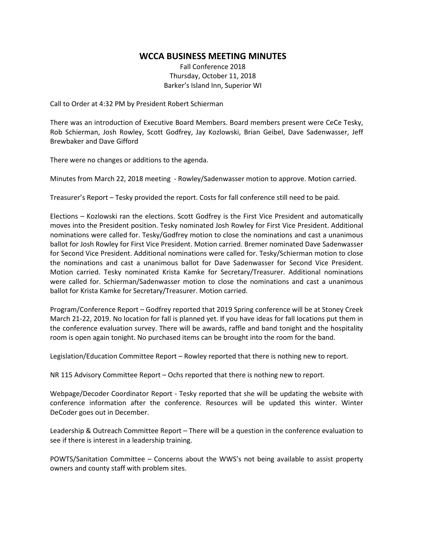## **WCCA BUSINESS MEETING MINUTES**

Fall Conference 2018 Thursday, October 11, 2018 Barker's Island Inn, Superior WI

Call to Order at 4:32 PM by President Robert Schierman

There was an introduction of Executive Board Members. Board members present were CeCe Tesky, Rob Schierman, Josh Rowley, Scott Godfrey, Jay Kozlowski, Brian Geibel, Dave Sadenwasser, Jeff Brewbaker and Dave Gifford

There were no changes or additions to the agenda.

Minutes from March 22, 2018 meeting - Rowley/Sadenwasser motion to approve. Motion carried.

Treasurer's Report – Tesky provided the report. Costs for fall conference still need to be paid.

Elections – Kozlowski ran the elections. Scott Godfrey is the First Vice President and automatically moves into the President position. Tesky nominated Josh Rowley for First Vice President. Additional nominations were called for. Tesky/Godfrey motion to close the nominations and cast a unanimous ballot for Josh Rowley for First Vice President. Motion carried. Bremer nominated Dave Sadenwasser for Second Vice President. Additional nominations were called for. Tesky/Schierman motion to close the nominations and cast a unanimous ballot for Dave Sadenwasser for Second Vice President. Motion carried. Tesky nominated Krista Kamke for Secretary/Treasurer. Additional nominations were called for. Schierman/Sadenwasser motion to close the nominations and cast a unanimous ballot for Krista Kamke for Secretary/Treasurer. Motion carried.

Program/Conference Report – Godfrey reported that 2019 Spring conference will be at Stoney Creek March 21-22, 2019. No location for fall is planned yet. If you have ideas for fall locations put them in the conference evaluation survey. There will be awards, raffle and band tonight and the hospitality room is open again tonight. No purchased items can be brought into the room for the band.

Legislation/Education Committee Report – Rowley reported that there is nothing new to report.

NR 115 Advisory Committee Report – Ochs reported that there is nothing new to report.

Webpage/Decoder Coordinator Report - Tesky reported that she will be updating the website with conference information after the conference. Resources will be updated this winter. Winter DeCoder goes out in December.

Leadership & Outreach Committee Report – There will be a question in the conference evaluation to see if there is interest in a leadership training.

POWTS/Sanitation Committee – Concerns about the WWS's not being available to assist property owners and county staff with problem sites.